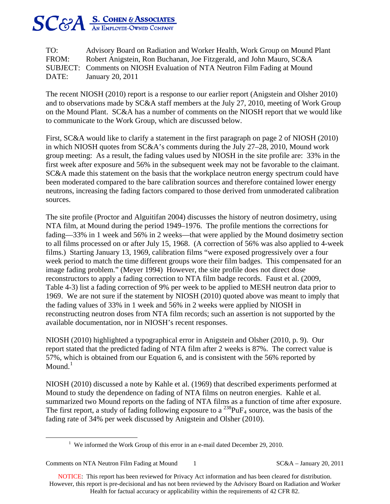

TO: Advisory Board on Radiation and Worker Health, Work Group on Mound Plant FROM: Robert Anigstein, Ron Buchanan, Joe Fitzgerald, and John Mauro, SC&A SUBJECT: Comments on NIOSH Evaluation of NTA Neutron Film Fading at Mound DATE: January 20, 2011

The recent NIOSH (2010) report is a response to our earlier report (Anigstein and Olsher 2010) and to observations made by SC&A staff members at the July 27, 2010, meeting of Work Group on the Mound Plant. SC&A has a number of comments on the NIOSH report that we would like to communicate to the Work Group, which are discussed below.

First, SC&A would like to clarify a statement in the first paragraph on page 2 of NIOSH (2010) in which NIOSH quotes from SC&A's comments during the July 27–28, 2010, Mound work group meeting: As a result, the fading values used by NIOSH in the site profile are: 33% in the first week after exposure and 56% in the subsequent week may not be favorable to the claimant. SC&A made this statement on the basis that the workplace neutron energy spectrum could have been moderated compared to the bare calibration sources and therefore contained lower energy neutrons, increasing the fading factors compared to those derived from unmoderated calibration sources.

The site profile (Proctor and Alguitifan 2004) discusses the history of neutron dosimetry, using NTA film, at Mound during the period 1949–1976. The profile mentions the corrections for fading—33% in 1 week and 56% in 2 weeks—that were applied by the Mound dosimetry section to all films processed on or after July 15, 1968. (A correction of 56% was also applied to 4-week films.) Starting January 13, 1969, calibration films "were exposed progressively over a four week period to match the time different groups wore their film badges. This compensated for an image fading problem." (Meyer 1994) However, the site profile does not direct dose reconstructors to apply a fading correction to NTA film badge records. Faust et al. (2009, Table 4-3) list a fading correction of 9% per week to be applied to MESH neutron data prior to 1969. We are not sure if the statement by NIOSH (2010) quoted above was meant to imply that the fading values of 33% in 1 week and 56% in 2 weeks were applied by NIOSH in reconstructing neutron doses from NTA film records; such an assertion is not supported by the available documentation, nor in NIOSH's recent responses.

NIOSH (2010) highlighted a typographical error in Anigstein and Olsher (2010, p. 9). Our report stated that the predicted fading of NTA film after 2 weeks is 87%. The correct value is 57%, which is obtained from our Equation 6, and is consistent with the 56% reported by Mound. $<sup>1</sup>$  $<sup>1</sup>$  $<sup>1</sup>$ </sup>

NIOSH (2010) discussed a note by Kahle et al. (1969) that described experiments performed at Mound to study the dependence on fading of NTA films on neutron energies. Kahle et al. summarized two Mound reports on the fading of NTA films as a function of time after exposure. The first report, a study of fading following exposure to a  $^{238}PuF_4$  source, was the basis of the fading rate of 34% per week discussed by Anigstein and Olsher (2010).

Comments on NTA Neutron Film Fading at Mound 1 SC&A – January 20, 2011

NOTICE: This report has been reviewed for Privacy Act information and has been cleared for distribution. However, this report is pre-decisional and has not been reviewed by the Advisory Board on Radiation and Worker Health for factual accuracy or applicability within the requirements of 42 CFR 82.

<span id="page-0-0"></span><sup>&</sup>lt;u>1</u> <sup>1</sup> We informed the Work Group of this error in an e-mail dated December 29, 2010.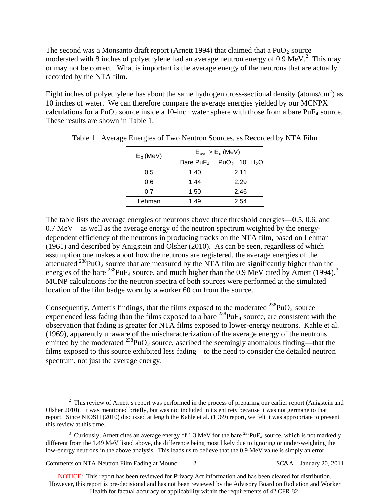The second was a Monsanto draft report (Arnett 1994) that claimed that a  $PuO<sub>2</sub>$  source moderated with 8 inches of polyethylene had an average neutron energy of 0.9 MeV. $^2$  $^2$  This may or may not be correct. What is important is the average energy of the neutrons that are actually recorded by the NTA film.

Eight inches of polyethylene has about the same hydrogen cross-sectional density (atoms/cm<sup>2</sup>) as 10 inches of water. We can therefore compare the average energies yielded by our MCNPX calculations for a PuO<sub>2</sub> source inside a 10-inch water sphere with those from a bare PuF<sub>4</sub> source. These results are shown in Table 1.

|             | $E_{ave}$ > $E_o$ (MeV) |                                                               |  |  |
|-------------|-------------------------|---------------------------------------------------------------|--|--|
| $E_0$ (MeV) |                         | Bare PuF <sub>4</sub> PuO <sub>2</sub> : 10" H <sub>2</sub> O |  |  |
| 0.5         | 1.40                    | 2.11                                                          |  |  |
| 0.6         | 1.44                    | 2.29                                                          |  |  |
| 0.7         | 1.50                    | 2.46                                                          |  |  |
| Lehman      | 1.49                    | 2.54                                                          |  |  |

|  |  |  |  | Table 1. Average Energies of Two Neutron Sources, as Recorded by NTA Film |
|--|--|--|--|---------------------------------------------------------------------------|
|  |  |  |  |                                                                           |

The table lists the average energies of neutrons above three threshold energies—0.5, 0.6, and 0.7 MeV—as well as the average energy of the neutron spectrum weighted by the energydependent efficiency of the neutrons in producing tracks on the NTA film, based on Lehman (1961) and described by Anigstein and Olsher (2010). As can be seen, regardless of which assumption one makes about how the neutrons are registered, the average energies of the attenuated  $^{238}$ PuO<sub>2</sub> source that are measured by the NTA film are significantly higher than the energies of the bare <sup>2[3](#page-1-1)8</sup>PuF<sub>4</sub> source, and much higher than the 0.9 MeV cited by Arnett (1994).<sup>3</sup> MCNP calculations for the neutron spectra of both sources were performed at the simulated location of the film badge worn by a worker 60 cm from the source.

Consequently, Arnett's findings, that the films exposed to the moderated  $^{238}PuO_2$  source experienced less fading than the films exposed to a bare  $^{238}PuF_4$  source, are consistent with the observation that fading is greater for NTA films exposed to lower-energy neutrons. Kahle et al. (1969), apparently unaware of the mischaracterization of the average energy of the neutrons emitted by the moderated  $^{238}PuO_2$  source, ascribed the seemingly anomalous finding—that the films exposed to this source exhibited less fading—to the need to consider the detailed neutron spectrum, not just the average energy.

Comments on NTA Neutron Film Fading at Mound 2 SC&A – January 20, 2011

NOTICE: This report has been reviewed for Privacy Act information and has been cleared for distribution. However, this report is pre-decisional and has not been reviewed by the Advisory Board on Radiation and Worker Health for factual accuracy or applicability within the requirements of 42 CFR 82.

<span id="page-1-0"></span> $\frac{1}{2}$  $2\degree$  This review of Arnett's report was performed in the process of preparing our earlier report (Anigstein and Olsher 2010). It was mentioned briefly, but was not included in its entirety because it was not germane to that report. Since NIOSH (2010) discussed at length the Kahle et al. (1969) report, we felt it was appropriate to present this review at this time.

<span id="page-1-1"></span><sup>&</sup>lt;sup>3</sup> Curiously, Arnett cites an average energy of 1.3 MeV for the bare  $^{238}PuF_4$  source, which is not markedly different from the 1.49 MeV listed above, the difference being most likely due to ignoring or under-weighting the low-energy neutrons in the above analysis. This leads us to believe that the 0.9 MeV value is simply an error.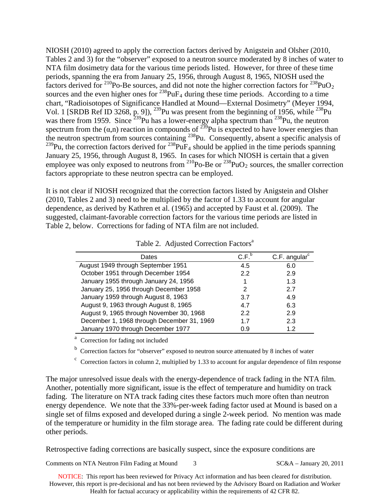NIOSH (2010) agreed to apply the correction factors derived by Anigstein and Olsher (2010, Tables 2 and 3) for the "observer" exposed to a neutron source moderated by 8 inches of water to NTA film dosimetry data for the various time periods listed. However, for three of these time periods, spanning the era from January 25, 1956, through August 8, 1965, NIOSH used the factors derived for  $^{210}$ Po-Be sources, and did not note the higher correction factors for  $^{238}$ PuO<sub>2</sub> sources and the even higher ones for  $^{238}PuF_4$  during these time periods. According to a time chart, "Radioisotopes of Significance Handled at Mound—External Dosimetry" (Meyer 1994, Vol. 1 [SRDB Ref ID 3268, p. 9]),  $^{239}$ Pu was present from the beginning of 1956, while  $^{238}$ Pu was there from 1959. Since  $^{239}$ Pu has a lower-energy alpha spectrum than  $^{238}$ Pu, the neutron spectrum from the  $(\alpha, n)$  reaction in compounds of  $^{239}$ Pu is expected to have lower energies than the neutron spectrum from sources containing <sup>238</sup>Pu. Consequently, absent a specific analysis of  $^{239}$ Pu, the correction factors derived for  $^{238}$ PuF<sub>4</sub> should be applied in the time periods spanning January 25, 1956, through August 8, 1965. In cases for which NIOSH is certain that a given employee was only exposed to neutrons from  $^{210}$ Po-Be or  $^{238}$ PuO<sub>2</sub> sources, the smaller correction factors appropriate to these neutron spectra can be employed.

It is not clear if NIOSH recognized that the correction factors listed by Anigstein and Olsher (2010, Tables 2 and 3) need to be multiplied by the factor of 1.33 to account for angular dependence, as derived by Kathren et al. (1965) and accepted by Faust et al. (2009). The suggested, claimant-favorable correction factors for the various time periods are listed in Table 2, below. Corrections for fading of NTA film are not included.

| Dates                                      | C.F. <sup>b</sup> | $C.F.$ angular $c$ |
|--------------------------------------------|-------------------|--------------------|
| August 1949 through September 1951         | 4.5               | 6.0                |
| October 1951 through December 1954         | 2.2               | 2.9                |
| January 1955 through January 24, 1956      |                   | 1.3                |
| January 25, 1956 through December 1958     | 2                 | 27                 |
| January 1959 through August 8, 1963        | 3.7               | 4.9                |
| August 9, 1963 through August 8, 1965      | 4.7               | 6.3                |
| August 9, 1965 through November 30, 1968   | 2.2               | 2.9                |
| December 1, 1968 through December 31, 1969 | 17                | 2.3                |
| January 1970 through December 1977         | 0.9               | 1.2                |

Table 2. Adjusted Correction Factors<sup>a</sup>

<sup>a</sup> Correction for fading not included

<sup>b</sup> Correction factors for "observer" exposed to neutron source attenuated by 8 inches of water

c c  $\epsilon$  Correction factors in column 2, multiplied by 1.33 to account for angular dependence of film response

The major unresolved issue deals with the energy-dependence of track fading in the NTA film. Another, potentially more significant, issue is the effect of temperature and humidity on track fading. The literature on NTA track fading cites these factors much more often than neutron energy dependence. We note that the 33%-per-week fading factor used at Mound is based on a single set of films exposed and developed during a single 2-week period. No mention was made of the temperature or humidity in the film storage area. The fading rate could be different during other periods.

Retrospective fading corrections are basically suspect, since the exposure conditions are

Comments on NTA Neutron Film Fading at Mound 3 SC&A – January 20, 2011

NOTICE: This report has been reviewed for Privacy Act information and has been cleared for distribution. However, this report is pre-decisional and has not been reviewed by the Advisory Board on Radiation and Worker Health for factual accuracy or applicability within the requirements of 42 CFR 82.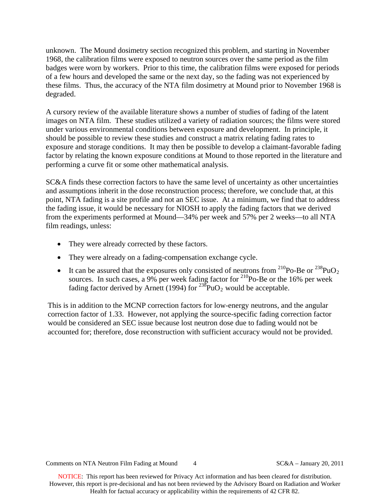unknown. The Mound dosimetry section recognized this problem, and starting in November 1968, the calibration films were exposed to neutron sources over the same period as the film badges were worn by workers. Prior to this time, the calibration films were exposed for periods of a few hours and developed the same or the next day, so the fading was not experienced by these films. Thus, the accuracy of the NTA film dosimetry at Mound prior to November 1968 is degraded.

A cursory review of the available literature shows a number of studies of fading of the latent images on NTA film. These studies utilized a variety of radiation sources; the films were stored under various environmental conditions between exposure and development. In principle, it should be possible to review these studies and construct a matrix relating fading rates to exposure and storage conditions. It may then be possible to develop a claimant-favorable fading factor by relating the known exposure conditions at Mound to those reported in the literature and performing a curve fit or some other mathematical analysis.

SC&A finds these correction factors to have the same level of uncertainty as other uncertainties and assumptions inherit in the dose reconstruction process; therefore, we conclude that, at this point, NTA fading is a site profile and not an SEC issue. At a minimum, we find that to address the fading issue, it would be necessary for NIOSH to apply the fading factors that we derived from the experiments performed at Mound—34% per week and 57% per 2 weeks—to all NTA film readings, unless:

- They were already corrected by these factors.
- They were already on a fading-compensation exchange cycle.
- It can be assured that the exposures only consisted of neutrons from  $^{210}$ Po-Be or  $^{238}$ PuO<sub>2</sub> sources. In such cases, a 9% per week fading factor for  $^{210}$ Po-Be or the 16% per week fading factor derived by Arnett (1994) for  $^{238}$ PuO<sub>2</sub> would be acceptable.

This is in addition to the MCNP correction factors for low-energy neutrons, and the angular correction factor of 1.33. However, not applying the source-specific fading correction factor would be considered an SEC issue because lost neutron dose due to fading would not be accounted for; therefore, dose reconstruction with sufficient accuracy would not be provided.